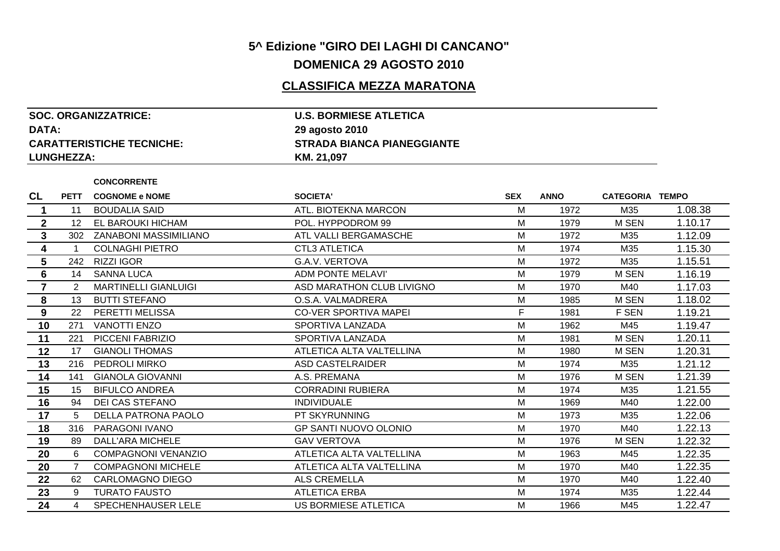## **5^ Edizione "GIRO DEI LAGHI DI CANCANO"DOMENICA 29 AGOSTO 2010**

## **CLASSIFICA MEZZA MARATONA**

| <b>SOC. ORGANIZZATRICE:</b>      | <b>U.S. BORMIESE ATLETICA</b>     |
|----------------------------------|-----------------------------------|
| DATA:                            | 29 agosto 2010                    |
| <b>CARATTERISTICHE TECNICHE:</b> | <b>STRADA BIANCA PIANEGGIANTE</b> |
| <b>LUNGHEZZA:</b>                | KM. 21,097                        |

**CONCORRENTE**

| <b>CL</b>      | <b>PETT</b> | <b>COGNOME e NOME</b>        | <b>SOCIETA'</b>              | <b>SEX</b> | <b>ANNO</b> | <b>CATEGORIA TEMPO</b> |         |
|----------------|-------------|------------------------------|------------------------------|------------|-------------|------------------------|---------|
|                | 11          | <b>BOUDALIA SAID</b>         | ATL. BIOTEKNA MARCON         | M          | 1972        | M35                    | 1.08.38 |
| $\mathbf{2}$   | 12          | EL BAROUKI HICHAM            | POL. HYPPODROM 99            | M          | 1979        | M SEN                  | 1.10.17 |
| $\mathbf{3}$   | 302         | <b>ZANABONI MASSIMILIANO</b> | ATL VALLI BERGAMASCHE        | M          | 1972        | M35                    | 1.12.09 |
| 4              | 1           | <b>COLNAGHI PIETRO</b>       | <b>CTL3 ATLETICA</b>         | M          | 1974        | M35                    | 1.15.30 |
| 5              | 242         | <b>RIZZI IGOR</b>            | G.A.V. VERTOVA               | M          | 1972        | M35                    | 1.15.51 |
| 6              | 14          | <b>SANNA LUCA</b>            | ADM PONTE MELAVI'            | M          | 1979        | M SEN                  | 1.16.19 |
| $\overline{7}$ | 2           | <b>MARTINELLI GIANLUIGI</b>  | ASD MARATHON CLUB LIVIGNO    | M          | 1970        | M40                    | 1.17.03 |
| 8              | 13          | <b>BUTTI STEFANO</b>         | O.S.A. VALMADRERA            | M          | 1985        | M SEN                  | 1.18.02 |
| 9              | 22          | PERETTI MELISSA              | <b>CO-VER SPORTIVA MAPEI</b> | F.         | 1981        | F SEN                  | 1.19.21 |
| 10             | 271         | <b>VANOTTI ENZO</b>          | SPORTIVA LANZADA             | м          | 1962        | M45                    | 1.19.47 |
| 11             | 221         | PICCENI FABRIZIO             | SPORTIVA LANZADA             | M          | 1981        | M SEN                  | 1.20.11 |
| 12             | 17          | <b>GIANOLI THOMAS</b>        | ATLETICA ALTA VALTELLINA     | M          | 1980        | M SEN                  | 1.20.31 |
| 13             | 216         | <b>PEDROLI MIRKO</b>         | ASD CASTELRAIDER             | M          | 1974        | M35                    | 1.21.12 |
| 14             | 141         | <b>GIANOLA GIOVANNI</b>      | A.S. PREMANA                 | м          | 1976        | M SEN                  | 1.21.39 |
| 15             | 15          | <b>BIFULCO ANDREA</b>        | <b>CORRADINI RUBIERA</b>     | M          | 1974        | M35                    | 1.21.55 |
| 16             | 94          | DEI CAS STEFANO              | <b>INDIVIDUALE</b>           | M          | 1969        | M40                    | 1.22.00 |
| 17             | 5           | DELLA PATRONA PAOLO          | PT SKYRUNNING                | M          | 1973        | M35                    | 1.22.06 |
| 18             | 316         | PARAGONI IVANO               | <b>GP SANTI NUOVO OLONIO</b> | M          | 1970        | M40                    | 1.22.13 |
| 19             | 89          | DALL'ARA MICHELE             | <b>GAV VERTOVA</b>           | M          | 1976        | M SEN                  | 1.22.32 |
| 20             | 6           | <b>COMPAGNONI VENANZIO</b>   | ATLETICA ALTA VALTELLINA     | M          | 1963        | M45                    | 1.22.35 |
| 20             |             | <b>COMPAGNONI MICHELE</b>    | ATLETICA ALTA VALTELLINA     | M          | 1970        | M40                    | 1.22.35 |
| 22             | 62          | CARLOMAGNO DIEGO             | ALS CREMELLA                 | M          | 1970        | M40                    | 1.22.40 |
| 23             | 9           | <b>TURATO FAUSTO</b>         | <b>ATLETICA ERBA</b>         | M          | 1974        | M35                    | 1.22.44 |
| 24             | 4           | <b>SPECHENHAUSER LELE</b>    | US BORMIESE ATLETICA         | M          | 1966        | M45                    | 1.22.47 |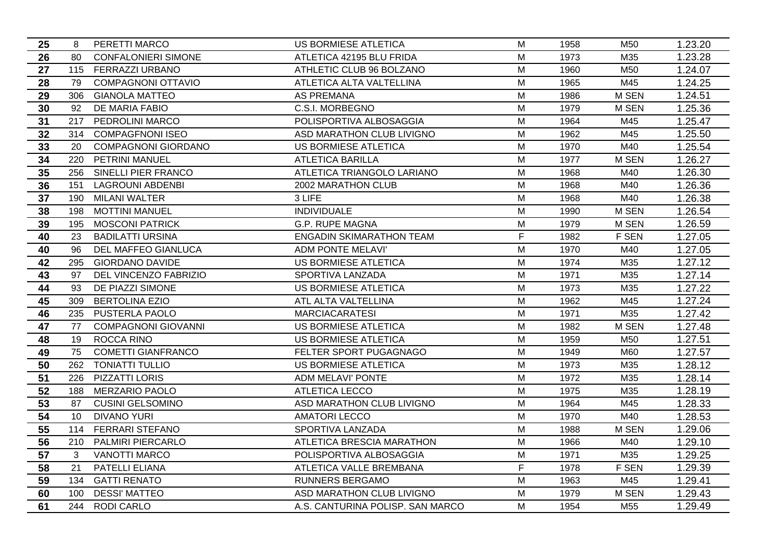| 25 | 8   | PERETTI MARCO              | US BORMIESE ATLETICA             | м | 1958 | M50             | 1.23.20 |
|----|-----|----------------------------|----------------------------------|---|------|-----------------|---------|
| 26 | 80  | <b>CONFALONIERI SIMONE</b> | ATLETICA 42195 BLU FRIDA         | M | 1973 | M35             | 1.23.28 |
| 27 |     | 115 FERRAZZI URBANO        | ATHLETIC CLUB 96 BOLZANO         | M | 1960 | M50             | 1.24.07 |
| 28 | 79  | <b>COMPAGNONI OTTAVIO</b>  | ATLETICA ALTA VALTELLINA         | M | 1965 | M45             | 1.24.25 |
| 29 | 306 | <b>GIANOLA MATTEO</b>      | <b>AS PREMANA</b>                | M | 1986 | M SEN           | 1.24.51 |
| 30 | 92  | DE MARIA FABIO             | C.S.I. MORBEGNO                  | M | 1979 | <b>M SEN</b>    | 1.25.36 |
| 31 | 217 | PEDROLINI MARCO            | POLISPORTIVA ALBOSAGGIA          | M | 1964 | M45             | 1.25.47 |
| 32 | 314 | <b>COMPAGFNONI ISEO</b>    | ASD MARATHON CLUB LIVIGNO        | M | 1962 | M45             | 1.25.50 |
| 33 | 20  | <b>COMPAGNONI GIORDANO</b> | US BORMIESE ATLETICA             | M | 1970 | M40             | 1.25.54 |
| 34 | 220 | PETRINI MANUEL             | <b>ATLETICA BARILLA</b>          | M | 1977 | M SEN           | 1.26.27 |
| 35 |     | 256 SINELLI PIER FRANCO    | ATLETICA TRIANGOLO LARIANO       | M | 1968 | M40             | 1.26.30 |
| 36 | 151 | <b>LAGROUNI ABDENBI</b>    | 2002 MARATHON CLUB               | M | 1968 | M40             | 1.26.36 |
| 37 | 190 | <b>MILANI WALTER</b>       | 3 LIFE                           | M | 1968 | M40             | 1.26.38 |
| 38 | 198 | <b>MOTTINI MANUEL</b>      | <b>INDIVIDUALE</b>               | M | 1990 | M SEN           | 1.26.54 |
| 39 | 195 | <b>MOSCONI PATRICK</b>     | <b>G.P. RUPE MAGNA</b>           | M | 1979 | M SEN           | 1.26.59 |
| 40 | 23  | <b>BADILATTI URSINA</b>    | <b>ENGADIN SKIMARATHON TEAM</b>  | F | 1982 | F SEN           | 1.27.05 |
| 40 | 96  | DEL MAFFEO GIANLUCA        | ADM PONTE MELAVI'                | M | 1970 | M40             | 1.27.05 |
| 42 | 295 | <b>GIORDANO DAVIDE</b>     | <b>US BORMIESE ATLETICA</b>      | M | 1974 | M35             | 1.27.12 |
| 43 | 97  | DEL VINCENZO FABRIZIO      | SPORTIVA LANZADA                 | M | 1971 | M35             | 1.27.14 |
| 44 | 93  | DE PIAZZI SIMONE           | <b>US BORMIESE ATLETICA</b>      | M | 1973 | M35             | 1.27.22 |
| 45 | 309 | <b>BERTOLINA EZIO</b>      | ATL ALTA VALTELLINA              | M | 1962 | M45             | 1.27.24 |
| 46 | 235 | PUSTERLA PAOLO             | <b>MARCIACARATESI</b>            | M | 1971 | M35             | 1.27.42 |
| 47 | 77  | <b>COMPAGNONI GIOVANNI</b> | US BORMIESE ATLETICA             | M | 1982 | M SEN           | 1.27.48 |
| 48 | 19  | ROCCA RINO                 | US BORMIESE ATLETICA             | M | 1959 | M50             | 1.27.51 |
| 49 | 75  | <b>COMETTI GIANFRANCO</b>  | FELTER SPORT PUGAGNAGO           | M | 1949 | M60             | 1.27.57 |
| 50 | 262 | <b>TONIATTI TULLIO</b>     | US BORMIESE ATLETICA             | M | 1973 | M35             | 1.28.12 |
| 51 | 226 | PIZZATTI LORIS             | ADM MELAVI' PONTE                | M | 1972 | M35             | 1.28.14 |
| 52 | 188 | <b>MERZARIO PAOLO</b>      | <b>ATLETICA LECCO</b>            | M | 1975 | M35             | 1.28.19 |
| 53 | 87  | <b>CUSINI GELSOMINO</b>    | ASD MARATHON CLUB LIVIGNO        | M | 1964 | M45             | 1.28.33 |
| 54 | 10  | <b>DIVANO YURI</b>         | <b>AMATORI LECCO</b>             | M | 1970 | M40             | 1.28.53 |
| 55 | 114 | FERRARI STEFANO            | SPORTIVA LANZADA                 | M | 1988 | M SEN           | 1.29.06 |
| 56 | 210 | PALMIRI PIERCARLO          | ATLETICA BRESCIA MARATHON        | M | 1966 | M40             | 1.29.10 |
| 57 | 3   | <b>VANOTTI MARCO</b>       | POLISPORTIVA ALBOSAGGIA          | M | 1971 | M35             | 1.29.25 |
| 58 | 21  | PATELLI ELIANA             | ATLETICA VALLE BREMBANA          | F | 1978 | F SEN           | 1.29.39 |
| 59 | 134 | <b>GATTI RENATO</b>        | RUNNERS BERGAMO                  | M | 1963 | M45             | 1.29.41 |
| 60 | 100 | <b>DESSI' MATTEO</b>       | ASD MARATHON CLUB LIVIGNO        | M | 1979 | M SEN           | 1.29.43 |
| 61 |     | 244 RODI CARLO             | A.S. CANTURINA POLISP. SAN MARCO | м | 1954 | M <sub>55</sub> | 1.29.49 |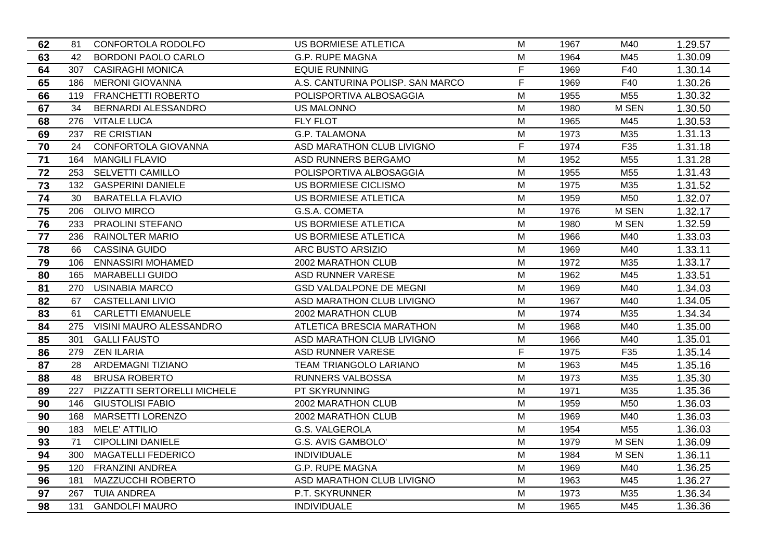| 62 | 81  | CONFORTOLA RODOLFO          | <b>US BORMIESE ATLETICA</b>      | м | 1967 | M40             | 1.29.57 |
|----|-----|-----------------------------|----------------------------------|---|------|-----------------|---------|
| 63 | 42  | <b>BORDONI PAOLO CARLO</b>  | <b>G.P. RUPE MAGNA</b>           | M | 1964 | M45             | 1.30.09 |
| 64 |     | 307 CASIRAGHI MONICA        | <b>EQUIE RUNNING</b>             | F | 1969 | F40             | 1.30.14 |
| 65 | 186 | <b>MERONI GIOVANNA</b>      | A.S. CANTURINA POLISP. SAN MARCO | F | 1969 | F40             | 1.30.26 |
| 66 |     | 119 FRANCHETTI ROBERTO      | POLISPORTIVA ALBOSAGGIA          | M | 1955 | M <sub>55</sub> | 1.30.32 |
| 67 | 34  | <b>BERNARDI ALESSANDRO</b>  | <b>US MALONNO</b>                | M | 1980 | M SEN           | 1.30.50 |
| 68 | 276 | <b>VITALE LUCA</b>          | <b>FLY FLOT</b>                  | M | 1965 | M45             | 1.30.53 |
| 69 | 237 | <b>RE CRISTIAN</b>          | G.P. TALAMONA                    | M | 1973 | M35             | 1.31.13 |
| 70 | 24  | CONFORTOLA GIOVANNA         | ASD MARATHON CLUB LIVIGNO        | F | 1974 | F35             | 1.31.18 |
| 71 | 164 | <b>MANGILI FLAVIO</b>       | ASD RUNNERS BERGAMO              | M | 1952 | M55             | 1.31.28 |
| 72 |     | 253 SELVETTI CAMILLO        | POLISPORTIVA ALBOSAGGIA          | M | 1955 | M <sub>55</sub> | 1.31.43 |
| 73 |     | 132 GASPERINI DANIELE       | US BORMIESE CICLISMO             | M | 1975 | M35             | 1.31.52 |
| 74 | 30  | <b>BARATELLA FLAVIO</b>     | <b>US BORMIESE ATLETICA</b>      | M | 1959 | M50             | 1.32.07 |
| 75 | 206 | <b>OLIVO MIRCO</b>          | G.S.A. COMETA                    | M | 1976 | M SEN           | 1.32.17 |
| 76 | 233 | PRAOLINI STEFANO            | US BORMIESE ATLETICA             | M | 1980 | M SEN           | 1.32.59 |
| 77 | 236 | <b>RAINOLTER MARIO</b>      | <b>US BORMIESE ATLETICA</b>      | M | 1966 | M40             | 1.33.03 |
| 78 | 66  | <b>CASSINA GUIDO</b>        | ARC BUSTO ARSIZIO                | M | 1969 | M40             | 1.33.11 |
| 79 | 106 | <b>ENNASSIRI MOHAMED</b>    | 2002 MARATHON CLUB               | M | 1972 | M35             | 1.33.17 |
| 80 | 165 | <b>MARABELLI GUIDO</b>      | ASD RUNNER VARESE                | M | 1962 | M45             | 1.33.51 |
| 81 | 270 | <b>USINABIA MARCO</b>       | <b>GSD VALDALPONE DE MEGNI</b>   | M | 1969 | M40             | 1.34.03 |
| 82 | 67  | <b>CASTELLANI LIVIO</b>     | ASD MARATHON CLUB LIVIGNO        | M | 1967 | M40             | 1.34.05 |
| 83 | 61  | <b>CARLETTI EMANUELE</b>    | 2002 MARATHON CLUB               | M | 1974 | M35             | 1.34.34 |
| 84 | 275 | VISINI MAURO ALESSANDRO     | ATLETICA BRESCIA MARATHON        | M | 1968 | M40             | 1.35.00 |
| 85 | 301 | <b>GALLI FAUSTO</b>         | ASD MARATHON CLUB LIVIGNO        | M | 1966 | M40             | 1.35.01 |
| 86 | 279 | <b>ZEN ILARIA</b>           | ASD RUNNER VARESE                | F | 1975 | F35             | 1.35.14 |
| 87 | 28  | <b>ARDEMAGNI TIZIANO</b>    | TEAM TRIANGOLO LARIANO           | M | 1963 | M45             | 1.35.16 |
| 88 | 48  | <b>BRUSA ROBERTO</b>        | <b>RUNNERS VALBOSSA</b>          | M | 1973 | M35             | 1.35.30 |
| 89 | 227 | PIZZATTI SERTORELLI MICHELE | PT SKYRUNNING                    | M | 1971 | M35             | 1.35.36 |
| 90 | 146 | <b>GIUSTOLISI FABIO</b>     | 2002 MARATHON CLUB               | M | 1959 | M50             | 1.36.03 |
| 90 | 168 | <b>MARSETTI LORENZO</b>     | 2002 MARATHON CLUB               | M | 1969 | M40             | 1.36.03 |
| 90 | 183 | <b>MELE' ATTILIO</b>        | G.S. VALGEROLA                   | M | 1954 | M <sub>55</sub> | 1.36.03 |
| 93 | 71  | <b>CIPOLLINI DANIELE</b>    | G.S. AVIS GAMBOLO'               | M | 1979 | M SEN           | 1.36.09 |
| 94 | 300 | <b>MAGATELLI FEDERICO</b>   | <b>INDIVIDUALE</b>               | M | 1984 | M SEN           | 1.36.11 |
| 95 | 120 | <b>FRANZINI ANDREA</b>      | <b>G.P. RUPE MAGNA</b>           | M | 1969 | M40             | 1.36.25 |
| 96 | 181 | MAZZUCCHI ROBERTO           | ASD MARATHON CLUB LIVIGNO        | M | 1963 | M45             | 1.36.27 |
| 97 | 267 | TUIA ANDREA                 | P.T. SKYRUNNER                   | M | 1973 | M35             | 1.36.34 |
| 98 | 131 | <b>GANDOLFI MAURO</b>       | <b>INDIVIDUALE</b>               | м | 1965 | M45             | 1.36.36 |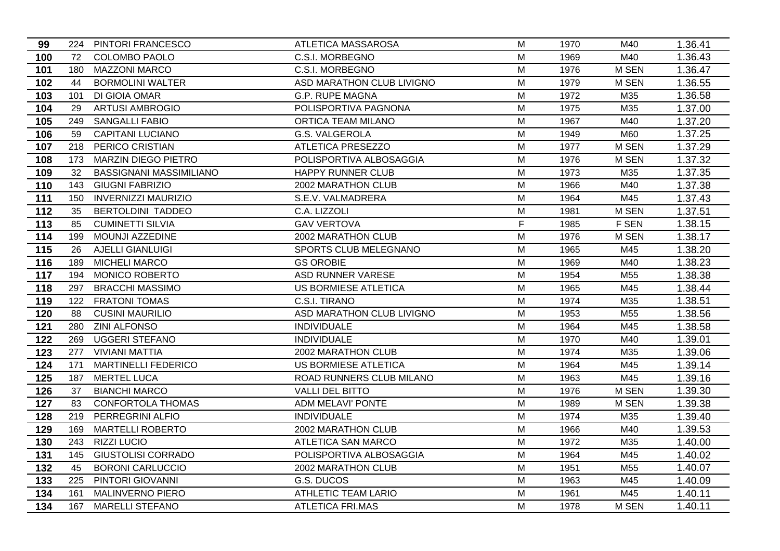| 99  |     | 224 PINTORI FRANCESCO          | ATLETICA MASSAROSA          | м | 1970 | M40             | 1.36.41 |
|-----|-----|--------------------------------|-----------------------------|---|------|-----------------|---------|
| 100 | 72  | <b>COLOMBO PAOLO</b>           | C.S.I. MORBEGNO             | M | 1969 | M40             | 1.36.43 |
| 101 | 180 | <b>MAZZONI MARCO</b>           | C.S.I. MORBEGNO             | M | 1976 | M SEN           | 1.36.47 |
| 102 | 44  | <b>BORMOLINI WALTER</b>        | ASD MARATHON CLUB LIVIGNO   | M | 1979 | M SEN           | 1.36.55 |
| 103 | 101 | DI GIOIA OMAR                  | <b>G.P. RUPE MAGNA</b>      | M | 1972 | M35             | 1.36.58 |
| 104 | 29  | <b>ARTUSI AMBROGIO</b>         | POLISPORTIVA PAGNONA        | M | 1975 | M35             | 1.37.00 |
| 105 | 249 | <b>SANGALLI FABIO</b>          | ORTICA TEAM MILANO          | M | 1967 | M40             | 1.37.20 |
| 106 | 59  | <b>CAPITANI LUCIANO</b>        | G.S. VALGEROLA              | M | 1949 | M60             | 1.37.25 |
| 107 | 218 | PERICO CRISTIAN                | <b>ATLETICA PRESEZZO</b>    | M | 1977 | M SEN           | 1.37.29 |
| 108 | 173 | <b>MARZIN DIEGO PIETRO</b>     | POLISPORTIVA ALBOSAGGIA     | M | 1976 | M SEN           | 1.37.32 |
| 109 | 32  | <b>BASSIGNANI MASSIMILIANO</b> | <b>HAPPY RUNNER CLUB</b>    | M | 1973 | M35             | 1.37.35 |
| 110 | 143 | <b>GIUGNI FABRIZIO</b>         | 2002 MARATHON CLUB          | M | 1966 | M40             | 1.37.38 |
| 111 | 150 | <b>INVERNIZZI MAURIZIO</b>     | S.E.V. VALMADRERA           | M | 1964 | M45             | 1.37.43 |
| 112 | 35  | <b>BERTOLDINI TADDEO</b>       | C.A. LIZZOLI                | M | 1981 | M SEN           | 1.37.51 |
| 113 | 85  | <b>CUMINETTI SILVIA</b>        | <b>GAV VERTOVA</b>          | F | 1985 | F SEN           | 1.38.15 |
| 114 | 199 | MOUNJI AZZEDINE                | 2002 MARATHON CLUB          | M | 1976 | M SEN           | 1.38.17 |
| 115 | 26  | <b>AJELLI GIANLUIGI</b>        | SPORTS CLUB MELEGNANO       | M | 1965 | M45             | 1.38.20 |
| 116 | 189 | <b>MICHELI MARCO</b>           | <b>GS OROBIE</b>            | м | 1969 | M40             | 1.38.23 |
| 117 | 194 | <b>MONICO ROBERTO</b>          | ASD RUNNER VARESE           | M | 1954 | M55             | 1.38.38 |
| 118 | 297 | <b>BRACCHI MASSIMO</b>         | US BORMIESE ATLETICA        | M | 1965 | M45             | 1.38.44 |
| 119 | 122 | <b>FRATONI TOMAS</b>           | C.S.I. TIRANO               | M | 1974 | M35             | 1.38.51 |
| 120 | 88  | <b>CUSINI MAURILIO</b>         | ASD MARATHON CLUB LIVIGNO   | M | 1953 | M55             | 1.38.56 |
| 121 | 280 | <b>ZINI ALFONSO</b>            | <b>INDIVIDUALE</b>          | M | 1964 | M45             | 1.38.58 |
| 122 | 269 | <b>UGGERI STEFANO</b>          | <b>INDIVIDUALE</b>          | M | 1970 | M40             | 1.39.01 |
| 123 | 277 | <b>VIVIANI MATTIA</b>          | 2002 MARATHON CLUB          | M | 1974 | M35             | 1.39.06 |
| 124 | 171 | <b>MARTINELLI FEDERICO</b>     | <b>US BORMIESE ATLETICA</b> | M | 1964 | M45             | 1.39.14 |
| 125 | 187 | <b>MERTEL LUCA</b>             | ROAD RUNNERS CLUB MILANO    | M | 1963 | M45             | 1.39.16 |
| 126 | 37  | <b>BIANCHI MARCO</b>           | <b>VALLI DEL BITTO</b>      | M | 1976 | M SEN           | 1.39.30 |
| 127 | 83  | <b>CONFORTOLA THOMAS</b>       | <b>ADM MELAVI' PONTE</b>    | M | 1989 | M SEN           | 1.39.38 |
| 128 | 219 | PERREGRINI ALFIO               | <b>INDIVIDUALE</b>          | M | 1974 | M35             | 1.39.40 |
| 129 | 169 | <b>MARTELLI ROBERTO</b>        | 2002 MARATHON CLUB          | M | 1966 | M40             | 1.39.53 |
| 130 | 243 | <b>RIZZI LUCIO</b>             | ATLETICA SAN MARCO          | M | 1972 | M35             | 1.40.00 |
| 131 | 145 | <b>GIUSTOLISI CORRADO</b>      | POLISPORTIVA ALBOSAGGIA     | M | 1964 | M45             | 1.40.02 |
| 132 | 45  | <b>BORONI CARLUCCIO</b>        | 2002 MARATHON CLUB          | M | 1951 | M <sub>55</sub> | 1.40.07 |
| 133 | 225 | PINTORI GIOVANNI               | G.S. DUCOS                  | M | 1963 | M45             | 1.40.09 |
| 134 | 161 | <b>MALINVERNO PIERO</b>        | <b>ATHLETIC TEAM LARIO</b>  | M | 1961 | M45             | 1.40.11 |
| 134 |     | 167 MARELLI STEFANO            | <b>ATLETICA FRI.MAS</b>     | м | 1978 | M SEN           | 1.40.11 |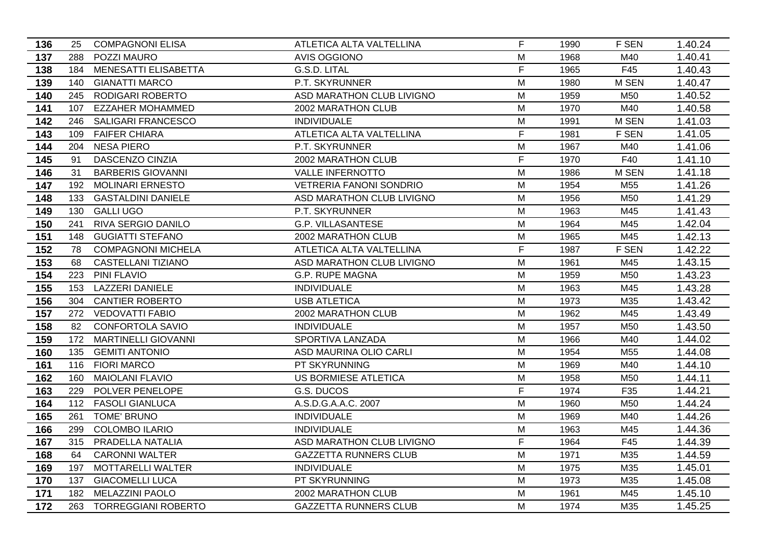| 136 | 25  | <b>COMPAGNONI ELISA</b>     | ATLETICA ALTA VALTELLINA       | F | 1990 | F SEN           | 1.40.24 |
|-----|-----|-----------------------------|--------------------------------|---|------|-----------------|---------|
| 137 | 288 | POZZI MAURO                 | <b>AVIS OGGIONO</b>            | M | 1968 | M40             | 1.40.41 |
| 138 | 184 | <b>MENESATTI ELISABETTA</b> | G.S.D. LITAL                   | F | 1965 | F45             | 1.40.43 |
| 139 | 140 | <b>GIANATTI MARCO</b>       | P.T. SKYRUNNER                 | M | 1980 | M SEN           | 1.40.47 |
| 140 | 245 | <b>RODIGARI ROBERTO</b>     | ASD MARATHON CLUB LIVIGNO      | M | 1959 | M50             | 1.40.52 |
| 141 | 107 | <b>EZZAHER MOHAMMED</b>     | 2002 MARATHON CLUB             | M | 1970 | M40             | 1.40.58 |
| 142 | 246 | SALIGARI FRANCESCO          | <b>INDIVIDUALE</b>             | M | 1991 | M SEN           | 1.41.03 |
| 143 | 109 | <b>FAIFER CHIARA</b>        | ATLETICA ALTA VALTELLINA       | F | 1981 | F SEN           | 1.41.05 |
| 144 | 204 | <b>NESA PIERO</b>           | P.T. SKYRUNNER                 | M | 1967 | M40             | 1.41.06 |
| 145 | 91  | DASCENZO CINZIA             | 2002 MARATHON CLUB             | F | 1970 | F40             | 1.41.10 |
| 146 | 31  | <b>BARBERIS GIOVANNI</b>    | <b>VALLE INFERNOTTO</b>        | M | 1986 | M SEN           | 1.41.18 |
| 147 | 192 | <b>MOLINARI ERNESTO</b>     | <b>VETRERIA FANONI SONDRIO</b> | M | 1954 | M <sub>55</sub> | 1.41.26 |
| 148 | 133 | <b>GASTALDINI DANIELE</b>   | ASD MARATHON CLUB LIVIGNO      | M | 1956 | M50             | 1.41.29 |
| 149 | 130 | <b>GALLI UGO</b>            | P.T. SKYRUNNER                 | M | 1963 | M45             | 1.41.43 |
| 150 | 241 | RIVA SERGIO DANILO          | <b>G.P. VILLASANTESE</b>       | M | 1964 | M45             | 1.42.04 |
| 151 | 148 | <b>GUGIATTI STEFANO</b>     | 2002 MARATHON CLUB             | M | 1965 | M45             | 1.42.13 |
| 152 | 78  | <b>COMPAGNONI MICHELA</b>   | ATLETICA ALTA VALTELLINA       | F | 1987 | F SEN           | 1.42.22 |
| 153 | 68  | CASTELLANI TIZIANO          | ASD MARATHON CLUB LIVIGNO      | M | 1961 | M45             | 1.43.15 |
| 154 | 223 | PINI FLAVIO                 | <b>G.P. RUPE MAGNA</b>         | M | 1959 | M50             | 1.43.23 |
| 155 | 153 | <b>LAZZERI DANIELE</b>      | <b>INDIVIDUALE</b>             | M | 1963 | M45             | 1.43.28 |
| 156 | 304 | <b>CANTIER ROBERTO</b>      | <b>USB ATLETICA</b>            | M | 1973 | M35             | 1.43.42 |
| 157 |     | 272 VEDOVATTI FABIO         | 2002 MARATHON CLUB             | M | 1962 | M45             | 1.43.49 |
| 158 | 82  | <b>CONFORTOLA SAVIO</b>     | <b>INDIVIDUALE</b>             | M | 1957 | M50             | 1.43.50 |
| 159 |     | 172 MARTINELLI GIOVANNI     | SPORTIVA LANZADA               | M | 1966 | M40             | 1.44.02 |
| 160 | 135 | <b>GEMITI ANTONIO</b>       | ASD MAURINA OLIO CARLI         | M | 1954 | M <sub>55</sub> | 1.44.08 |
| 161 | 116 | <b>FIORI MARCO</b>          | PT SKYRUNNING                  | M | 1969 | M40             | 1.44.10 |
| 162 | 160 | <b>MAIOLANI FLAVIO</b>      | <b>US BORMIESE ATLETICA</b>    | M | 1958 | M50             | 1.44.11 |
| 163 | 229 | POLVER PENELOPE             | G.S. DUCOS                     | F | 1974 | F35             | 1.44.21 |
| 164 | 112 | <b>FASOLI GIANLUCA</b>      | A.S.D.G.A.A.C. 2007            | M | 1960 | M50             | 1.44.24 |
| 165 | 261 | <b>TOME' BRUNO</b>          | <b>INDIVIDUALE</b>             | M | 1969 | M40             | 1.44.26 |
| 166 | 299 | <b>COLOMBO ILARIO</b>       | <b>INDIVIDUALE</b>             | M | 1963 | M45             | 1.44.36 |
| 167 | 315 | PRADELLA NATALIA            | ASD MARATHON CLUB LIVIGNO      | F | 1964 | F45             | 1.44.39 |
| 168 | 64  | <b>CARONNI WALTER</b>       | <b>GAZZETTA RUNNERS CLUB</b>   | M | 1971 | M35             | 1.44.59 |
| 169 | 197 | MOTTARELLI WALTER           | <b>INDIVIDUALE</b>             | M | 1975 | M35             | 1.45.01 |
| 170 | 137 | <b>GIACOMELLI LUCA</b>      | PT SKYRUNNING                  | M | 1973 | M35             | 1.45.08 |
| 171 | 182 | <b>MELAZZINI PAOLO</b>      | 2002 MARATHON CLUB             | M | 1961 | M45             | 1.45.10 |
| 172 |     | 263 TORREGGIANI ROBERTO     | <b>GAZZETTA RUNNERS CLUB</b>   | м | 1974 | M35             | 1.45.25 |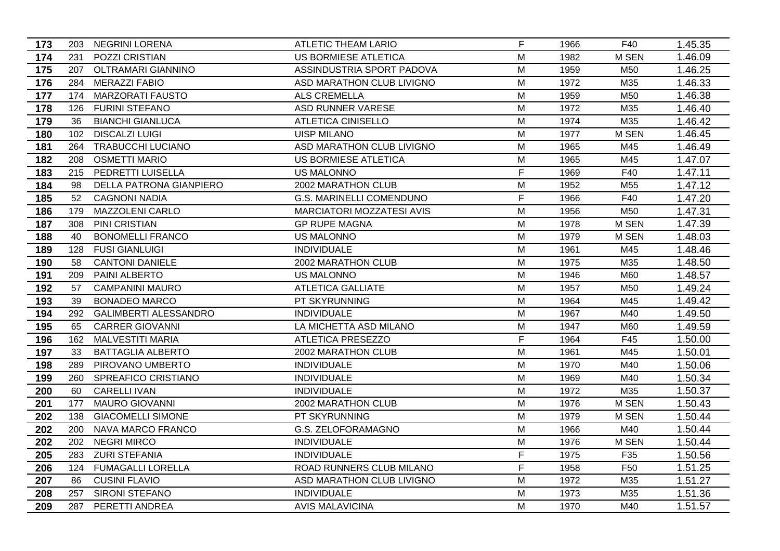| 173 |     | 203 NEGRINI LORENA           | ATLETIC THEAM LARIO              | F           | 1966 | F40             | 1.45.35 |
|-----|-----|------------------------------|----------------------------------|-------------|------|-----------------|---------|
| 174 | 231 | POZZI CRISTIAN               | <b>US BORMIESE ATLETICA</b>      | M           | 1982 | <b>M SEN</b>    | 1.46.09 |
| 175 | 207 | <b>OLTRAMARI GIANNINO</b>    | ASSINDUSTRIA SPORT PADOVA        | M           | 1959 | M50             | 1.46.25 |
| 176 | 284 | <b>MERAZZI FABIO</b>         | ASD MARATHON CLUB LIVIGNO        | M           | 1972 | M35             | 1.46.33 |
| 177 | 174 | <b>MARZORATI FAUSTO</b>      | <b>ALS CREMELLA</b>              | M           | 1959 | M50             | 1.46.38 |
| 178 | 126 | <b>FURINI STEFANO</b>        | ASD RUNNER VARESE                | M           | 1972 | M35             | 1.46.40 |
| 179 | 36  | <b>BIANCHI GIANLUCA</b>      | <b>ATLETICA CINISELLO</b>        | M           | 1974 | M35             | 1.46.42 |
| 180 | 102 | <b>DISCALZI LUIGI</b>        | <b>UISP MILANO</b>               | M           | 1977 | M SEN           | 1.46.45 |
| 181 | 264 | <b>TRABUCCHI LUCIANO</b>     | ASD MARATHON CLUB LIVIGNO        | M           | 1965 | M45             | 1.46.49 |
| 182 | 208 | <b>OSMETTI MARIO</b>         | US BORMIESE ATLETICA             | M           | 1965 | M45             | 1.47.07 |
| 183 | 215 | <b>PEDRETTI LUISELLA</b>     | <b>US MALONNO</b>                | F           | 1969 | F40             | 1.47.11 |
| 184 | 98  | DELLA PATRONA GIANPIERO      | 2002 MARATHON CLUB               | M           | 1952 | M <sub>55</sub> | 1.47.12 |
| 185 | 52  | <b>CAGNONI NADIA</b>         | <b>G.S. MARINELLI COMENDUNO</b>  | $\mathsf F$ | 1966 | F40             | 1.47.20 |
| 186 | 179 | <b>MAZZOLENI CARLO</b>       | <b>MARCIATORI MOZZATESI AVIS</b> | M           | 1956 | M50             | 1.47.31 |
| 187 | 308 | <b>PINI CRISTIAN</b>         | <b>GP RUPE MAGNA</b>             | M           | 1978 | <b>M SEN</b>    | 1.47.39 |
| 188 | 40  | <b>BONOMELLI FRANCO</b>      | <b>US MALONNO</b>                | M           | 1979 | M SEN           | 1.48.03 |
| 189 | 128 | <b>FUSI GIANLUIGI</b>        | <b>INDIVIDUALE</b>               | M           | 1961 | M45             | 1.48.46 |
| 190 | 58  | <b>CANTONI DANIELE</b>       | 2002 MARATHON CLUB               | M           | 1975 | M35             | 1.48.50 |
| 191 | 209 | PAINI ALBERTO                | <b>US MALONNO</b>                | M           | 1946 | M60             | 1.48.57 |
| 192 | 57  | <b>CAMPANINI MAURO</b>       | <b>ATLETICA GALLIATE</b>         | M           | 1957 | M50             | 1.49.24 |
| 193 | 39  | <b>BONADEO MARCO</b>         | PT SKYRUNNING                    | M           | 1964 | M45             | 1.49.42 |
| 194 | 292 | <b>GALIMBERTI ALESSANDRO</b> | <b>INDIVIDUALE</b>               | M           | 1967 | M40             | 1.49.50 |
| 195 | 65  | <b>CARRER GIOVANNI</b>       | LA MICHETTA ASD MILANO           | M           | 1947 | M60             | 1.49.59 |
| 196 | 162 | <b>MALVESTITI MARIA</b>      | <b>ATLETICA PRESEZZO</b>         | F           | 1964 | F45             | 1.50.00 |
| 197 | 33  | <b>BATTAGLIA ALBERTO</b>     | 2002 MARATHON CLUB               | M           | 1961 | M45             | 1.50.01 |
| 198 | 289 | PIROVANO UMBERTO             | <b>INDIVIDUALE</b>               | M           | 1970 | M40             | 1.50.06 |
| 199 | 260 | SPREAFICO CRISTIANO          | <b>INDIVIDUALE</b>               | M           | 1969 | M40             | 1.50.34 |
| 200 | 60  | <b>CARELLI IVAN</b>          | <b>INDIVIDUALE</b>               | M           | 1972 | M35             | 1.50.37 |
| 201 | 177 | <b>MAURO GIOVANNI</b>        | 2002 MARATHON CLUB               | M           | 1976 | M SEN           | 1.50.43 |
| 202 | 138 | <b>GIACOMELLI SIMONE</b>     | PT SKYRUNNING                    | M           | 1979 | M SEN           | 1.50.44 |
| 202 | 200 | NAVA MARCO FRANCO            | <b>G.S. ZELOFORAMAGNO</b>        | M           | 1966 | M40             | 1.50.44 |
| 202 | 202 | <b>NEGRI MIRCO</b>           | <b>INDIVIDUALE</b>               | M           | 1976 | M SEN           | 1.50.44 |
| 205 | 283 | <b>ZURI STEFANIA</b>         | <b>INDIVIDUALE</b>               | F           | 1975 | F35             | 1.50.56 |
| 206 | 124 | <b>FUMAGALLI LORELLA</b>     | ROAD RUNNERS CLUB MILANO         | F           | 1958 | F <sub>50</sub> | 1.51.25 |
| 207 | 86  | <b>CUSINI FLAVIO</b>         | ASD MARATHON CLUB LIVIGNO        | M           | 1972 | M35             | 1.51.27 |
| 208 | 257 | <b>SIRONI STEFANO</b>        | <b>INDIVIDUALE</b>               | M           | 1973 | M35             | 1.51.36 |
| 209 |     | 287 PERETTI ANDREA           | <b>AVIS MALAVICINA</b>           | M           | 1970 | M40             | 1.51.57 |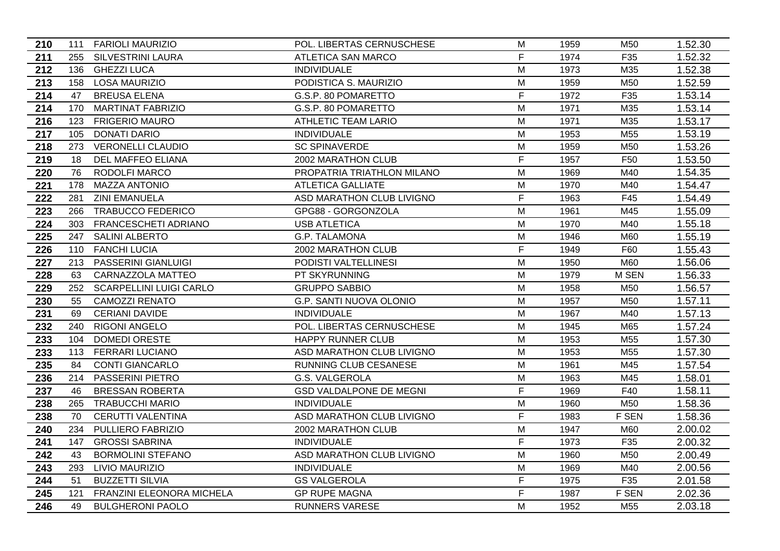| 210 |     | 111 FARIOLI MAURIZIO        | POL. LIBERTAS CERNUSCHESE      | м  | 1959 | M50             | 1.52.30 |
|-----|-----|-----------------------------|--------------------------------|----|------|-----------------|---------|
| 211 |     | 255 SILVESTRINI LAURA       | <b>ATLETICA SAN MARCO</b>      | F. | 1974 | F35             | 1.52.32 |
| 212 |     | 136 GHEZZI LUCA             | <b>INDIVIDUALE</b>             | M  | 1973 | M35             | 1.52.38 |
| 213 | 158 | <b>LOSA MAURIZIO</b>        | PODISTICA S. MAURIZIO          | M  | 1959 | M50             | 1.52.59 |
| 214 | 47  | <b>BREUSA ELENA</b>         | G.S.P. 80 POMARETTO            | F  | 1972 | F35             | 1.53.14 |
| 214 | 170 | <b>MARTINAT FABRIZIO</b>    | G.S.P. 80 POMARETTO            | M  | 1971 | M35             | 1.53.14 |
| 216 | 123 | <b>FRIGERIO MAURO</b>       | ATHLETIC TEAM LARIO            | M  | 1971 | M35             | 1.53.17 |
| 217 | 105 | <b>DONATI DARIO</b>         | <b>INDIVIDUALE</b>             | M  | 1953 | M55             | 1.53.19 |
| 218 |     | 273 VERONELLI CLAUDIO       | <b>SC SPINAVERDE</b>           | M  | 1959 | M50             | 1.53.26 |
| 219 | 18  | DEL MAFFEO ELIANA           | 2002 MARATHON CLUB             | F  | 1957 | F <sub>50</sub> | 1.53.50 |
| 220 | 76  | RODOLFI MARCO               | PROPATRIA TRIATHLON MILANO     | M  | 1969 | M40             | 1.54.35 |
| 221 | 178 | <b>MAZZA ANTONIO</b>        | <b>ATLETICA GALLIATE</b>       | M  | 1970 | M40             | 1.54.47 |
| 222 | 281 | <b>ZINI EMANUELA</b>        | ASD MARATHON CLUB LIVIGNO      | F  | 1963 | F45             | 1.54.49 |
| 223 | 266 | <b>TRABUCCO FEDERICO</b>    | GPG88 - GORGONZOLA             | M  | 1961 | M45             | 1.55.09 |
| 224 | 303 | <b>FRANCESCHETI ADRIANO</b> | <b>USB ATLETICA</b>            | M  | 1970 | M40             | 1.55.18 |
| 225 | 247 | <b>SALINI ALBERTO</b>       | G.P. TALAMONA                  | M  | 1946 | M60             | 1.55.19 |
| 226 | 110 | <b>FANCHI LUCIA</b>         | 2002 MARATHON CLUB             | F. | 1949 | F60             | 1.55.43 |
| 227 |     | 213 PASSERINI GIANLUIGI     | PODISTI VALTELLINESI           | M  | 1950 | M60             | 1.56.06 |
| 228 | 63  | CARNAZZOLA MATTEO           | PT SKYRUNNING                  | M  | 1979 | M SEN           | 1.56.33 |
| 229 |     | 252 SCARPELLINI LUIGI CARLO | <b>GRUPPO SABBIO</b>           | M  | 1958 | M50             | 1.56.57 |
| 230 | 55  | <b>CAMOZZI RENATO</b>       | G.P. SANTI NUOVA OLONIO        | M  | 1957 | M50             | 1.57.11 |
| 231 | 69  | <b>CERIANI DAVIDE</b>       | <b>INDIVIDUALE</b>             | M  | 1967 | M40             | 1.57.13 |
| 232 | 240 | <b>RIGONI ANGELO</b>        | POL. LIBERTAS CERNUSCHESE      | M  | 1945 | M65             | 1.57.24 |
| 233 | 104 | <b>DOMEDI ORESTE</b>        | HAPPY RUNNER CLUB              | M  | 1953 | M55             | 1.57.30 |
| 233 | 113 | <b>FERRARI LUCIANO</b>      | ASD MARATHON CLUB LIVIGNO      | M  | 1953 | M <sub>55</sub> | 1.57.30 |
| 235 | 84  | <b>CONTI GIANCARLO</b>      | RUNNING CLUB CESANESE          | M  | 1961 | M45             | 1.57.54 |
| 236 | 214 | PASSERINI PIETRO            | G.S. VALGEROLA                 | M  | 1963 | M45             | 1.58.01 |
| 237 | 46  | <b>BRESSAN ROBERTA</b>      | <b>GSD VALDALPONE DE MEGNI</b> | F  | 1969 | F40             | 1.58.11 |
| 238 | 265 | <b>TRABUCCHI MARIO</b>      | <b>INDIVIDUALE</b>             | M  | 1960 | M50             | 1.58.36 |
| 238 | 70  | <b>CERUTTI VALENTINA</b>    | ASD MARATHON CLUB LIVIGNO      | F  | 1983 | F SEN           | 1.58.36 |
| 240 | 234 | PULLIERO FABRIZIO           | 2002 MARATHON CLUB             | M  | 1947 | M60             | 2.00.02 |
| 241 | 147 | <b>GROSSI SABRINA</b>       | <b>INDIVIDUALE</b>             | F  | 1973 | F35             | 2.00.32 |
| 242 | 43  | <b>BORMOLINI STEFANO</b>    | ASD MARATHON CLUB LIVIGNO      | M  | 1960 | M50             | 2.00.49 |
| 243 | 293 | <b>LIVIO MAURIZIO</b>       | <b>INDIVIDUALE</b>             | M  | 1969 | M40             | 2.00.56 |
| 244 | 51  | <b>BUZZETTI SILVIA</b>      | <b>GS VALGEROLA</b>            | F  | 1975 | F35             | 2.01.58 |
| 245 | 121 | FRANZINI ELEONORA MICHELA   | <b>GP RUPE MAGNA</b>           | F  | 1987 | F SEN           | 2.02.36 |
| 246 | 49  | <b>BULGHERONI PAOLO</b>     | <b>RUNNERS VARESE</b>          | М  | 1952 | M <sub>55</sub> | 2.03.18 |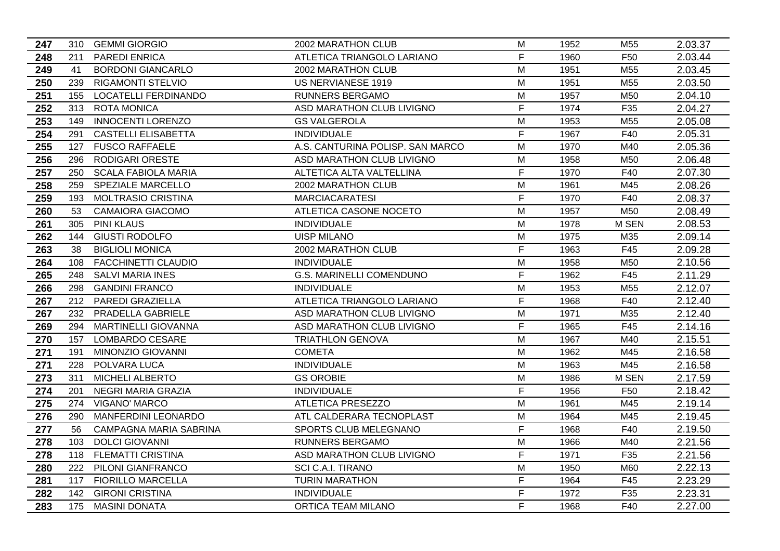| 247 |     | 310 GEMMI GIORGIO           | 2002 MARATHON CLUB               | M           | 1952 | M55             | 2.03.37 |
|-----|-----|-----------------------------|----------------------------------|-------------|------|-----------------|---------|
| 248 | 211 | <b>PAREDI ENRICA</b>        | ATLETICA TRIANGOLO LARIANO       | F           | 1960 | F <sub>50</sub> | 2.03.44 |
| 249 | 41  | <b>BORDONI GIANCARLO</b>    | 2002 MARATHON CLUB               | M           | 1951 | M <sub>55</sub> | 2.03.45 |
| 250 | 239 | <b>RIGAMONTI STELVIO</b>    | US NERVIANESE 1919               | M           | 1951 | M <sub>55</sub> | 2.03.50 |
| 251 | 155 | <b>LOCATELLI FERDINANDO</b> | <b>RUNNERS BERGAMO</b>           | M           | 1957 | M50             | 2.04.10 |
| 252 | 313 | <b>ROTA MONICA</b>          | ASD MARATHON CLUB LIVIGNO        | F           | 1974 | F35             | 2.04.27 |
| 253 | 149 | <b>INNOCENTI LORENZO</b>    | <b>GS VALGEROLA</b>              | M           | 1953 | M <sub>55</sub> | 2.05.08 |
| 254 | 291 | <b>CASTELLI ELISABETTA</b>  | <b>INDIVIDUALE</b>               | F           | 1967 | F40             | 2.05.31 |
| 255 | 127 | <b>FUSCO RAFFAELE</b>       | A.S. CANTURINA POLISP. SAN MARCO | M           | 1970 | M40             | 2.05.36 |
| 256 | 296 | RODIGARI ORESTE             | ASD MARATHON CLUB LIVIGNO        | M           | 1958 | M50             | 2.06.48 |
| 257 | 250 | <b>SCALA FABIOLA MARIA</b>  | ALTETICA ALTA VALTELLINA         | $\mathsf F$ | 1970 | F40             | 2.07.30 |
| 258 | 259 | SPEZIALE MARCELLO           | 2002 MARATHON CLUB               | M           | 1961 | M45             | 2.08.26 |
| 259 | 193 | <b>MOLTRASIO CRISTINA</b>   | <b>MARCIACARATESI</b>            | $\mathsf F$ | 1970 | F40             | 2.08.37 |
| 260 | 53  | <b>CAMAIORA GIACOMO</b>     | ATLETICA CASONE NOCETO           | M           | 1957 | M <sub>50</sub> | 2.08.49 |
| 261 | 305 | <b>PINI KLAUS</b>           | <b>INDIVIDUALE</b>               | M           | 1978 | <b>M SEN</b>    | 2.08.53 |
| 262 | 144 | <b>GIUSTI RODOLFO</b>       | <b>UISP MILANO</b>               | M           | 1975 | M35             | 2.09.14 |
| 263 | 38  | <b>BIGLIOLI MONICA</b>      | 2002 MARATHON CLUB               | F           | 1963 | F45             | 2.09.28 |
| 264 | 108 | <b>FACCHINETTI CLAUDIO</b>  | <b>INDIVIDUALE</b>               | M           | 1958 | M50             | 2.10.56 |
| 265 | 248 | <b>SALVI MARIA INES</b>     | <b>G.S. MARINELLI COMENDUNO</b>  | F           | 1962 | F45             | 2.11.29 |
| 266 | 298 | <b>GANDINI FRANCO</b>       | <b>INDIVIDUALE</b>               | M           | 1953 | M <sub>55</sub> | 2.12.07 |
| 267 |     | 212 PAREDI GRAZIELLA        | ATLETICA TRIANGOLO LARIANO       | F           | 1968 | F40             | 2.12.40 |
| 267 | 232 | PRADELLA GABRIELE           | ASD MARATHON CLUB LIVIGNO        | M           | 1971 | M35             | 2.12.40 |
| 269 | 294 | <b>MARTINELLI GIOVANNA</b>  | ASD MARATHON CLUB LIVIGNO        | F           | 1965 | F45             | 2.14.16 |
| 270 | 157 | LOMBARDO CESARE             | <b>TRIATHLON GENOVA</b>          | M           | 1967 | M40             | 2.15.51 |
| 271 | 191 | MINONZIO GIOVANNI           | <b>COMETA</b>                    | M           | 1962 | M45             | 2.16.58 |
| 271 | 228 | POLVARA LUCA                | <b>INDIVIDUALE</b>               | M           | 1963 | M45             | 2.16.58 |
| 273 | 311 | <b>MICHELI ALBERTO</b>      | <b>GS OROBIE</b>                 | M           | 1986 | M SEN           | 2.17.59 |
| 274 | 201 | NEGRI MARIA GRAZIA          | <b>INDIVIDUALE</b>               | F           | 1956 | F50             | 2.18.42 |
| 275 | 274 | <b>VIGANO' MARCO</b>        | <b>ATLETICA PRESEZZO</b>         | M           | 1961 | M45             | 2.19.14 |
| 276 | 290 | MANFERDINI LEONARDO         | ATL CALDERARA TECNOPLAST         | M           | 1964 | M45             | 2.19.45 |
| 277 | 56  | CAMPAGNA MARIA SABRINA      | SPORTS CLUB MELEGNANO            | F           | 1968 | F40             | 2.19.50 |
| 278 | 103 | <b>DOLCI GIOVANNI</b>       | RUNNERS BERGAMO                  | M           | 1966 | M40             | 2.21.56 |
| 278 | 118 | <b>FLEMATTI CRISTINA</b>    | ASD MARATHON CLUB LIVIGNO        | F           | 1971 | F35             | 2.21.56 |
| 280 | 222 | PILONI GIANFRANCO           | SCI C.A.I. TIRANO                | M           | 1950 | M60             | 2.22.13 |
| 281 | 117 | <b>FIORILLO MARCELLA</b>    | <b>TURIN MARATHON</b>            | F           | 1964 | F45             | 2.23.29 |
| 282 | 142 | <b>GIRONI CRISTINA</b>      | <b>INDIVIDUALE</b>               | F           | 1972 | F35             | 2.23.31 |
| 283 |     | 175 MASINI DONATA           | <b>ORTICA TEAM MILANO</b>        | F           | 1968 | F40             | 2.27.00 |